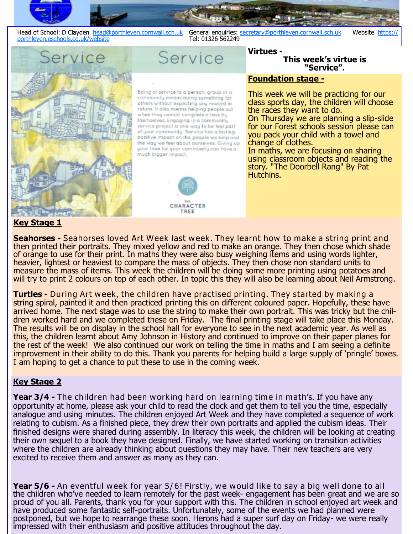

ervice

Being of service to a person, group or a community means doing something for others without expecting any reward in return. It also means helping people out when they cannot complete a task by themselves. Engaging in a community service project is one way to be feel part of your community. Service has a lasting, positive impact on the people we help and the way we feel about ourselves. Giving up your time for your community can have a much bigger impact.

Service



# **Foundation stage -**

**Virtues -** 

This week we will be practicing for our class sports day, the children will choose the races they want to do. On Thursday we are planning a slip-slide for our Forest schools session please can you pack your child with a towel and change of clothes. In maths, we are focusing on sharing

**This week's virtue is "Service".**

using classroom objects and reading the story. "The Doorbell Rang" By Pat Hutchins.

# **Key Stage 1**

**Seahorses -** Seahorses loved Art Week last week. They learnt how to make a string print and then printed their portraits. They mixed yellow and red to make an orange. They then chose which shade of orange to use for their print. In maths they were also busy weighing items and using words lighter, heavier, lightest or heaviest to compare the mass of objects. They then chose non standard units to measure the mass of items. This week the children will be doing some more printing using potatoes and will try to print 2 colours on top of each other. In topic this they will also be learning about Neil Armstrong.

**Turtles -** During Art week, the children have practised printing. They started by making a string spiral, painted it and then practiced printing this on different coloured paper. Hopefully, these have arrived home. The next stage was to use the string to make their own portrait. This was tricky but the children worked hard and we completed these on Friday. The final printing stage will take place this Monday. The results will be on display in the school hall for everyone to see in the next academic year. As well as this, the children learnt about Amy Johnson in History and continued to improve on their paper planes for the rest of the week! We also continued our work on telling the time in maths and I am seeing a definite improvement in their ability to do this. Thank you parents for helping build a large supply of 'pringle' boxes. I am hoping to get a chance to put these to use in the coming week.

# **Key Stage 2**

**Year 3/4 -** The children had been working hard on learning time in math's. If you have any opportunity at home, please ask your child to read the clock and get them to tell you the time, especially analogue and using minutes. The children enjoyed Art Week and they have completed a sequence of work relating to cubism. As a finished piece, they drew their own portraits and applied the cubism ideas. Their finished designs were shared during assembly. In literacy this week, the children will be looking at creating their own sequel to a book they have designed. Finally, we have started working on transition activities where the children are already thinking about questions they may have. Their new teachers are very excited to receive them and answer as many as they can.

**Year 5/6 -** An eventful week for year 5/6! Firstly, we would like to say a big well done to all the children who've needed to learn remotely for the past week- engagement has been great and we are so proud of you all. Parents, thank you for your support with this. The children in school enjoyed art week and have produced some fantastic self-portraits. Unfortunately, some of the events we had planned were postponed, but we hope to rearrange these soon. Herons had a super surf day on Friday- we were really impressed with their enthusiasm and positive attitudes throughout the day.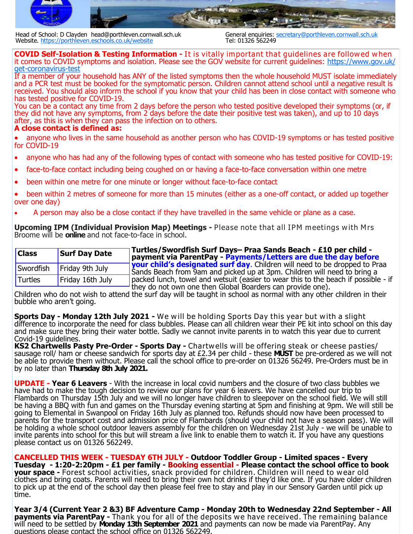

Head of School: D Clayden head@porthleven.cornwall.sch.uk General enquiries: secretary@porthleven.cornwall.sch.uk<br>Website, https://porthleven.eschools.co.uk/website<br>Tel: 01326 562249 Website. <https://porthleven.eschools.co.uk/website>

**COVID Self-Isolation & Testing Information -** It is vitally important that guidelines are followed when it comes to COVID symptoms and isolation. Please see the GOV website for current guidelines: [https://www.gov.uk/](https://www.gov.uk/get-coronavirus-test) get-[coronavirus](https://www.gov.uk/get-coronavirus-test)-test

If a member of your household has ANY of the listed symptoms then the whole household MUST isolate immediately and a PCR test must be booked for the symptomatic person. Children cannot attend school until a negative result is received. You should also inform the school if you know that your child has been in close contact with someone who has tested positive for COVID-19.

You can be a contact any time from 2 days before the person who tested positive developed their symptoms (or, if they did not have any symptoms, from 2 days before the date their positive test was taken), and up to 10 days after, as this is when they can pass the infection on to others.

#### **A close contact is defined as:**

 anyone who lives in the same household as another person who has COVID-19 symptoms or has tested positive for COVID-19

- anyone who has had any of the following types of contact with someone who has tested positive for COVID-19:
- face-to-face contact including being coughed on or having a face-to-face conversation within one metre
- been within one metre for one minute or longer without face-to-face contact
- been within 2 metres of someone for more than 15 minutes (either as a one-off contact, or added up together over one day)
- A person may also be a close contact if they have travelled in the same vehicle or plane as a case.

**Upcoming IPM (Individual Provision Map) Meetings -** Please note that all IPM meetings with Mrs Broome will be **online** and not face-to-face in school.

| <b>Class</b> | <b>Surf Day Date</b> | <b>Turtles/Swordfish Surf Days- Praa Sands Beach - £10 per child -</b><br>payment via ParentPay - Payments/Letters are due the day before                                                                                                                  |
|--------------|----------------------|------------------------------------------------------------------------------------------------------------------------------------------------------------------------------------------------------------------------------------------------------------|
| Swordfish    | Friday 9th July      | $\frac{1}{2}$ vour child's designated surf day. Children will need to be dropped to Praa<br>Sands Beach from 9am and picked up at 3pm. Children will need to bring a<br>packed lunch, towel and wetsuit (easier to wear this to the beach if possible - if |
| Turtles      | Friday 16th July     |                                                                                                                                                                                                                                                            |
|              |                      | they do not own one then Global Boarders can provide one).                                                                                                                                                                                                 |

Children who do not wish to attend the surf day will be taught in school as normal with any other children in their bubble who aren't going.

**Sports Day - Monday 12th July 2021 -** We w ill be holding Sports Day this year but with a slight difference to incorporate the need for class bubbles. Please can all children wear their PE kit into school on this day and make sure they bring their water bottle. Sadly we cannot invite parents in to watch this year due to current Covid-19 guidelines.

**KS2 Chartwells Pasty Pre-Order - Sports Day -** Chartwells will be offering steak or cheese pasties/ sausage roll/ ham or cheese sandwich for sports day at £2.34 per child - these **MUST** be pre-ordered as we will not be able to provide them without. Please call the school office to pre-order on 01326 56249. Pre-Orders must be in by no later than **Thursday 8th July 2021.**

**UPDATE - Year 6 Leavers** - With the increase in local covid numbers and the closure of two class bubbles we have had to make the tough decision to review our plans for year 6 leavers. We have cancelled our trip to Flambards on Thursday 15th July and we will no longer have children to sleepover on the school field. We will still be having a BBQ with fun and games on the Thursday evening starting at 5pm and finishing at 9pm. We will still be going to Elemental in Swanpool on Friday 16th July as planned too. Refunds should now have been processed to parents for the transport cost and admission price of Flambards (should your child not have a season pass). We will be holding a whole school outdoor leavers assembly for the children on Wednesday 21st July - we will be unable to invite parents into school for this but will stream a live link to enable them to watch it. If you have any questions please contact us on 01326 562249.

**CANCELLED THIS WEEK - TUESDAY 6TH JULY - Outdoor Toddler Group - Limited spaces - Every Tuesday - 1:20-2:20pm - £1 per family - Booking essential - Please contact the school office to book your space -** Forest school activities, snack provided for children. Children will need to wear old clothes and bring coats. Parents will need to bring their own hot drinks if they'd like one. If you have older children to pick up at the end of the school day then please feel free to stay and play in our Sensory Garden until pick up time.

**Year 3/4 (Current Year 2 &3) BF Adventure Camp - Monday 20th to Wednesday 22nd September - All payments via ParentPay -** Thank you for all of the deposits we have received. The remaining balance will need to be settled by **Monday 13th September 2021** and payments can now be made via ParentPay. Any questions please contact the school office on 01326 562249.